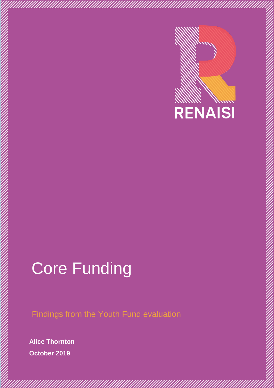

# Core Funding

Findings from the Youth Fund evaluation

f

**Alice Thornton October 2019**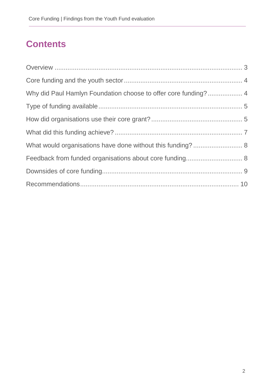## **Contents**

| Why did Paul Hamlyn Foundation choose to offer core funding? 4 |  |
|----------------------------------------------------------------|--|
|                                                                |  |
|                                                                |  |
|                                                                |  |
| What would organisations have done without this funding?  8    |  |
| Feedback from funded organisations about core funding 8        |  |
|                                                                |  |
|                                                                |  |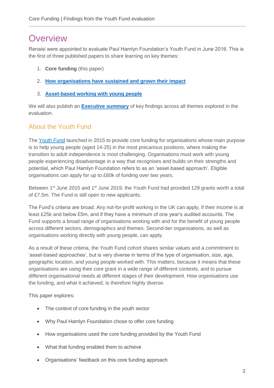## <span id="page-2-0"></span>**Overview**

Renaisi were appointed to evaluate Paul Hamlyn Foundation's Youth Fund in June 2016. This is the first of three published papers to share learning on key themes:

- 1. **Core funding** (this paper)
- 2. **[How organisations have sustained and grown their impact](https://www.phf.org.uk/wp-content/uploads/2019/10/PHF_Supporting-organisations-to-sustain-or-grow-their-impact-Youth-Fund-evaluation-Final.pdf)**
- 3. **[Asset-based working with young people](https://www.phf.org.uk/wp-content/uploads/2019/10/PHF_Asset-based-work-with-young-people-Findings-from-the-Youth-Fund-evaluation-Final.pdf)**

We will also publish an **[Executive summary](https://www.phf.org.uk/wp-content/uploads/2019/10/Youth-Fund-evaluation-Executive-Summary.pdf)** of key findings across all themes explored in the evaluation.

### About the Youth Fund

The [Youth Fund](https://www.phf.org.uk/funds/youth-fund/) launched in 2015 to provide core funding for organisations whose main purpose is to help young people (aged 14-25) in the most precarious positions, where making the transition to adult independence is most challenging. Organisations must work with young people experiencing disadvantage in a way that recognises and builds on their strengths and potential, which Paul Hamlyn Foundation refers to as an 'asset-based approach'. Eligible organisations can apply for up to £60k of funding over two years.

Between 1<sup>st</sup> June 2015 and 1<sup>st</sup> June 2019, the Youth Fund had provided 129 grants worth a total of £7.5m. The Fund is still open to new applicants.

The Fund's criteria are broad. Any not-for-profit working in the UK can apply, if their income is at least £25k and below £5m, and if they have a minimum of one year's audited accounts. The Fund supports a broad range of organisations working with and for the benefit of young people across different sectors, demographics and themes. Second-tier organisations, as well as organisations working directly with young people, can apply.

As a result of these criteria, the Youth Fund cohort shares similar values and a commitment to 'asset-based approaches', but is very diverse in terms of the type of organisation, size, age, geographic location, and young people worked with. This matters, because it means that these organisations are using their core grant in a wide range of different contexts, and to pursue different organisational needs at different stages of their development. How organisations use the funding, and what it achieved, is therefore highly diverse.

This paper explores:

- The context of core funding in the youth sector
- Why Paul Hamlyn Foundation chose to offer core funding
- How organisations used the core funding provided by the Youth Fund
- What that funding enabled them to achieve
- Organisations' feedback on this core funding approach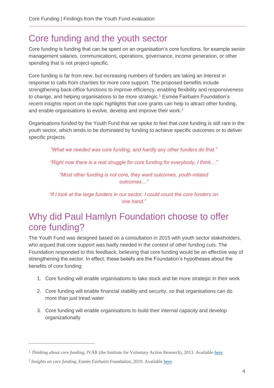## <span id="page-3-0"></span>Core funding and the youth sector

Core funding is funding that can be spent on an organisation's core functions, for example senior management salaries, communications, operations, governance, income generation, or other spending that is not project-specific.

Core funding is far from new, but increasing numbers of funders are taking an interest in response to calls from charities for more core support. The proposed benefits include strengthening back-office functions to improve efficiency, enabling flexibility and responsiveness to change, and helping organisations to be more strategic.<sup>1</sup> Esmée Fairbairn Foundation's recent insights report on the topic highlights that core grants can help to attract other funding, and enable organisations to evolve, develop and improve their work.<sup>2</sup>

Organisations funded by the Youth Fund that we spoke to feel that core funding is still rare in the youth sector, which tends to be dominated by funding to achieve specific outcomes or to deliver specific projects.

*"What we needed was core funding, and hardly any other funders do that."*

*"Right now there is a real struggle for core funding for everybody, I think…"* 

*"Most other funding is not core, they want outcomes, youth-related outcomes…"*

*"If I look at the large funders in our sector, I could count the core funders on one hand."* 

## <span id="page-3-1"></span>Why did Paul Hamlyn Foundation choose to offer core funding?

The Youth Fund was designed based on a consultation in 2015 with youth sector stakeholders, who argued that core support was badly needed in the context of other funding cuts. The Foundation responded to this feedback, believing that core funding would be an effective way of strengthening the sector. In effect, these beliefs are the Foundation's hypotheses about the benefits of core funding:

- 1. Core funding will enable organisations to take stock and be more strategic in their work
- 2. Core funding will enable financial stability and security, so that organisations can do more than just tread water
- 3. Core funding will enable organisations to build their internal capacity and develop organizationally

 $\overline{a}$ 

<sup>&</sup>lt;sup>1</sup> Thinking about core funding, IVAR (the Institute for Voluntary Action Research), 2013. Available [here.](https://www.ivar.org.uk/wp-content/uploads/2016/07/IVAR_ThinkingAbout_CoreFunding.pdf)

<sup>&</sup>lt;sup>2</sup> Insights on core funding, Esmée Fairbairn Foundation, 2019. Available [here.](https://www.esmeefairbairn.org.uk/userfiles/Documents/Publications/InsightsOnCoreFunding.pdf)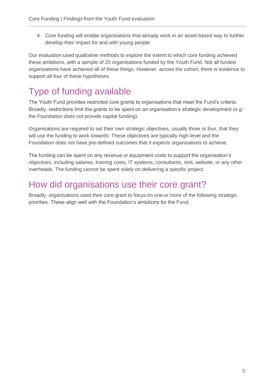4. Core funding will enable organisations that already work in an asset-based way to further develop their impact for and with young people

Our evaluation used qualitative methods to explore the extent to which core funding achieved these ambitions, with a sample of 20 organisations funded by the Youth Fund. Not all funded organisations have achieved all of these things. However, across the cohort, there is evidence to support all four of these hypotheses.

## <span id="page-4-0"></span>Type of funding available

The Youth Fund provides restricted core grants to organisations that meet the Fund's criteria. Broadly, restrictions limit the grants to be spent on an organisation's strategic development (*e.g.* the Foundation does not provide capital funding).

Organisations are required to set their own strategic objectives, usually three or four, that they will use the funding to work towards. These objectives are typically high-level and the Foundation does not have pre-defined outcomes that it expects organisations to achieve.

The funding can be spent on any revenue or equipment costs to support the organisation's objectives, including salaries, training costs, IT systems, consultants, rent, website, or any other overheads. The funding cannot be spent solely on delivering a specific project.

## <span id="page-4-1"></span>How did organisations use their core grant?

Broadly, organisations used their core grant to focus on one or more of the following strategic priorities. These align well with the Foundation's ambitions for the Fund: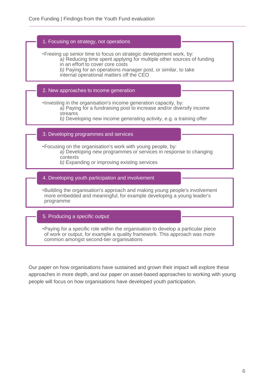## •Freeing up senior time to focus on strategic development work, by: *a)* Reducing time spent applying for multiple other sources of funding in an effort to cover core costs *b)* Paying for an operations manager post, or similar, to take internal operational matters off the CEO 1. Focusing on strategy, not operations •Investing in the organisation's income generation capacity, by: *a)* Paying for a fundraising post to increase and/or diversify income streams *b)* Developing new income generating activity, e.g. a training offer 2. New approaches to income generation •Focusing on the organisation's work with young people, by: *a)* Developing new programmes or services in response to changing contexts *b)* Expanding or improving existing services 3. Developing programmes and services •Building the organisation's approach and making young people's involvement more embedded and meaningful, for example developing a young leader's programme 4. Developing youth participation and involvement 5. Producing a specific output

•Paying for a specific role within the organisation to develop a particular piece of work or output, for example a quality framework. This approach was more common amongst second-tier organisations

Our paper on how organisations have sustained and grown their impact will explore these approaches in more depth, and our paper on asset-based approaches to working with young people will focus on how organisations have developed youth participation.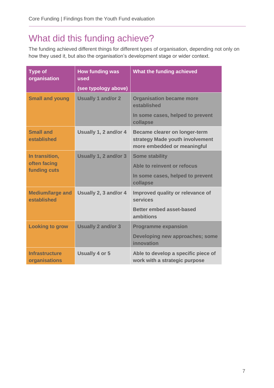# <span id="page-6-0"></span>What did this funding achieve?

The funding achieved different things for different types of organisation, depending not only on how they used it, but also the organisation's development stage or wider context.

| <b>Type of</b><br>organisation         | <b>How funding was</b><br>used | What the funding achieved                                                                              |
|----------------------------------------|--------------------------------|--------------------------------------------------------------------------------------------------------|
|                                        | (see typology above)           |                                                                                                        |
| <b>Small and young</b>                 | <b>Usually 1 and/or 2</b>      | <b>Organisation became more</b><br>established                                                         |
|                                        |                                | In some cases, helped to prevent<br>collapse                                                           |
| <b>Small and</b><br>established        | Usually 1, 2 and/or 4          | <b>Became clearer on longer-term</b><br>strategy Made youth involvement<br>more embedded or meaningful |
| In transition,                         | Usually 1, 2 and/or 3          | <b>Some stability</b>                                                                                  |
| often facing<br>funding cuts           |                                | Able to reinvent or refocus                                                                            |
|                                        |                                | In some cases, helped to prevent<br>collapse                                                           |
| <b>Medium/large and</b><br>established | Usually 2, 3 and/or 4          | Improved quality or relevance of<br>services                                                           |
|                                        |                                | <b>Better embed asset-based</b><br>ambitions                                                           |
| <b>Looking to grow</b>                 | <b>Usually 2 and/or 3</b>      | <b>Programme expansion</b>                                                                             |
|                                        |                                | Developing new approaches; some<br>innovation                                                          |
| <b>Infrastructure</b><br>organisations | <b>Usually 4 or 5</b>          | Able to develop a specific piece of<br>work with a strategic purpose                                   |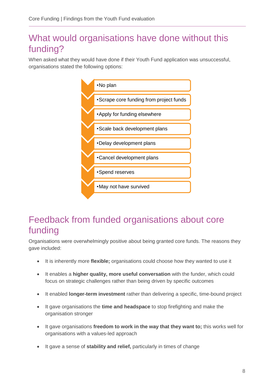## <span id="page-7-0"></span>What would organisations have done without this funding?

When asked what they would have done if their Youth Fund application was unsuccessful, organisations stated the following options:



## <span id="page-7-1"></span>Feedback from funded organisations about core funding

Organisations were overwhelmingly positive about being granted core funds. The reasons they gave included:

- It is inherently more **flexible;** organisations could choose how they wanted to use it
- It enables a **higher quality, more useful conversation** with the funder, which could focus on strategic challenges rather than being driven by specific outcomes
- It enabled **longer-term investment** rather than delivering a specific, time-bound project
- It gave organisations the **time and headspace** to stop firefighting and make the organisation stronger
- It gave organisations **freedom to work in the way that they want to;** this works well for organisations with a values-led approach
- It gave a sense of **stability and relief,** particularly in times of change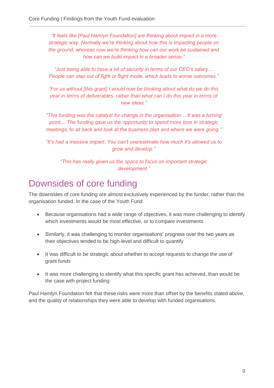*"It feels like [Paul Hamlyn Foundation] are thinking about impact in a more strategic way. Normally we're thinking about how this is impacting people on the ground, whereas now we're thinking how can our work be sustained and how can we build impact in a broader sense."* 

*"Just being able to have a bit of security in terms of our CEO's salary… People can step out of fight or flight mode, which leads to worse outcomes."* 

*"For us without [this grant] I would now be thinking about what do we do this year in terms of deliverables, rather than what can I do this year in terms of new ideas."*

*"This funding was the catalyst for change in the organisation… It was a turning point… The funding gave us the opportunity to spend more time in strategic meetings, to sit back and look at the business plan and where we were going."*

*"It's had a massive impact. You can't overestimate how much it's allowed us to grow and develop."*

*"This has really given us the space to focus on important strategic development."*

## <span id="page-8-0"></span>Downsides of core funding

The downsides of core funding are almost exclusively experienced by the funder, rather than the organisation funded. In the case of the Youth Fund:

- Because organisations had a wide range of objectives, it was more challenging to identify which investments would be most effective, or to compare investments
- Similarly, it was challenging to monitor organisations' progress over the two years as their objectives tended to be high-level and difficult to quantify
- It was difficult to be strategic about whether to accept requests to change the use of grant funds
- It was more challenging to identify what this specific grant has achieved, than would be the case with project funding

Paul Hamlyn Foundation felt that these risks were more than offset by the benefits stated above, and the quality of relationships they were able to develop with funded organisations.